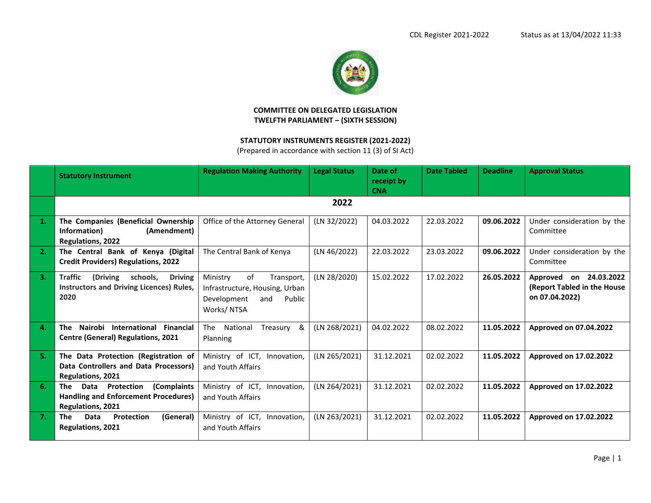

## **COMMITTEE ON DELEGATED LEGISLATION TWELFTH PARLIAMENT – (SIXTH SESSION)**

## **STATUTORY INSTRUMENTS REGISTER (2021-2022)**

(Prepared in accordance with section 11 (3) of SI Act)

|              | <b>Statutory Instrument</b>                                                                                  | <b>Regulation Making Authority</b>                                                                           | <b>Legal Status</b> | Date of<br>receipt by<br><b>CNA</b> | <b>Date Tabled</b> | <b>Deadline</b> | <b>Approval Status</b>                                                  |
|--------------|--------------------------------------------------------------------------------------------------------------|--------------------------------------------------------------------------------------------------------------|---------------------|-------------------------------------|--------------------|-----------------|-------------------------------------------------------------------------|
|              |                                                                                                              |                                                                                                              | 2022                |                                     |                    |                 |                                                                         |
| -1.          | The Companies (Beneficial Ownership<br>Information)<br>(Amendment)<br><b>Regulations, 2022</b>               | Office of the Attorney General                                                                               | (LN 32/2022)        | 04.03.2022                          | 22.03.2022         | 09.06.2022      | Under consideration by the<br>Committee                                 |
| 2.           | The Central Bank of Kenya (Digital<br><b>Credit Providers) Regulations, 2022</b>                             | The Central Bank of Kenya                                                                                    | (LN 46/2022)        | 22.03.2022                          | 23.03.2022         | 09.06.2022      | Under consideration by the<br>Committee                                 |
| 3.           | <b>Traffic</b><br>(Driving<br>schools,<br><b>Driving</b><br>Instructors and Driving Licences) Rules,<br>2020 | of<br>Ministry<br>Transport,<br>Infrastructure, Housing, Urban<br>Development<br>Public<br>and<br>Works/NTSA | (LN 28/2020)        | 15.02.2022                          | 17.02.2022         | 26.05.2022      | Approved on 24.03.2022<br>(Report Tabled in the House<br>on 07.04.2022) |
| $\mathbf{4}$ | Nairobi<br>International<br><b>Financial</b><br>The<br><b>Centre (General) Regulations, 2021</b>             | National<br>The<br>Treasury<br>&<br>Planning                                                                 | (LN 268/2021)       | 04.02.2022                          | 08.02.2022         | 11.05.2022      | Approved on 07.04.2022                                                  |
| 5.           | The Data Protection (Registration of<br>Data Controllers and Data Processors)<br><b>Regulations, 2021</b>    | Ministry of ICT, Innovation,<br>and Youth Affairs                                                            | (LN 265/2021)       | 31.12.2021                          | 02.02.2022         | 11.05.2022      | Approved on 17.02.2022                                                  |
| 6.           | Data<br>Protection<br>(Complaints<br>The<br>Handling and Enforcement Procedures)<br><b>Regulations, 2021</b> | Ministry of ICT, Innovation,<br>and Youth Affairs                                                            | (LN 264/2021)       | 31.12.2021                          | 02.02.2022         | 11.05.2022      | Approved on 17.02.2022                                                  |
| 7.           | (General)<br><b>The</b><br>Data<br>Protection<br><b>Regulations, 2021</b>                                    | Ministry of ICT, Innovation,<br>and Youth Affairs                                                            | (LN 263/2021)       | 31.12.2021                          | 02.02.2022         | 11.05.2022      | Approved on 17.02.2022                                                  |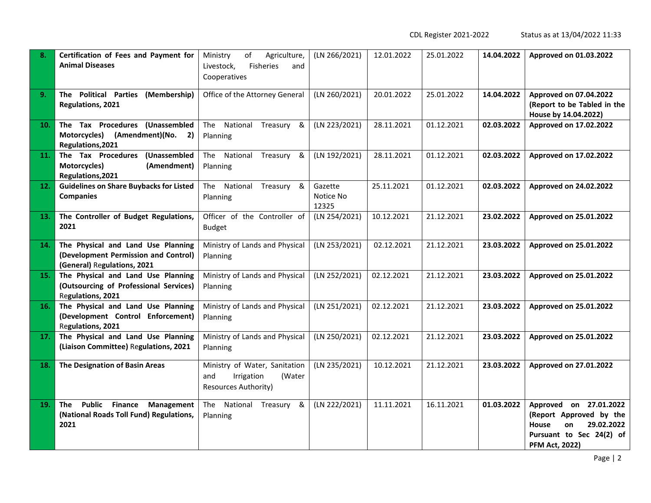CDL Register 2021-2022 Status as at 13/04/2022 11:33

| 8.  | Certification of Fees and Payment for<br><b>Animal Diseases</b>                                           | Ministry<br>of<br>Agriculture,<br>Fisheries<br>Livestock,<br>and<br>Cooperatives            | (LN 266/2021)                 | 12.01.2022 | 25.01.2022 | 14.04.2022 | Approved on 01.03.2022                                                                                                                     |
|-----|-----------------------------------------------------------------------------------------------------------|---------------------------------------------------------------------------------------------|-------------------------------|------------|------------|------------|--------------------------------------------------------------------------------------------------------------------------------------------|
| 9.  | <b>Political Parties</b><br>(Membership)<br>The<br>Regulations, 2021                                      | Office of the Attorney General                                                              | (LN 260/2021)                 | 20.01.2022 | 25.01.2022 | 14.04.2022 | Approved on 07.04.2022<br>(Report to be Tabled in the<br>House by 14.04.2022)                                                              |
| 10. | The Tax Procedures (Unassembled<br>(Amendment)(No.<br>Motorcycles)<br>2)<br>Regulations, 2021             | The National<br>Treasury<br>&<br>Planning                                                   | (LN 223/2021)                 | 28.11.2021 | 01.12.2021 | 02.03.2022 | Approved on 17.02.2022                                                                                                                     |
| 11. | The Tax Procedures (Unassembled<br>Motorcycles)<br>(Amendment)<br>Regulations, 2021                       | National Treasury<br>The<br>&<br>Planning                                                   | (LN 192/2021)                 | 28.11.2021 | 01.12.2021 | 02.03.2022 | Approved on 17.02.2022                                                                                                                     |
| 12. | <b>Guidelines on Share Buybacks for Listed</b><br><b>Companies</b>                                        | National Treasury &<br>The<br>Planning                                                      | Gazette<br>Notice No<br>12325 | 25.11.2021 | 01.12.2021 | 02.03.2022 | Approved on 24.02.2022                                                                                                                     |
| 13. | The Controller of Budget Regulations,<br>2021                                                             | Officer of the Controller of<br><b>Budget</b>                                               | (LN 254/2021)                 | 10.12.2021 | 21.12.2021 | 23.02.2022 | Approved on 25.01.2022                                                                                                                     |
| 14. | The Physical and Land Use Planning<br>(Development Permission and Control)<br>(General) Regulations, 2021 | Ministry of Lands and Physical<br>Planning                                                  | (LN 253/2021)                 | 02.12.2021 | 21.12.2021 | 23.03.2022 | Approved on 25.01.2022                                                                                                                     |
| 15. | The Physical and Land Use Planning<br>(Outsourcing of Professional Services)<br>Regulations, 2021         | Ministry of Lands and Physical<br>Planning                                                  | (LN 252/2021)                 | 02.12.2021 | 21.12.2021 | 23.03.2022 | Approved on 25.01.2022                                                                                                                     |
| 16. | The Physical and Land Use Planning<br>(Development Control Enforcement)<br>Regulations, 2021              | Ministry of Lands and Physical<br>Planning                                                  | (LN 251/2021)                 | 02.12.2021 | 21.12.2021 | 23.03.2022 | Approved on 25.01.2022                                                                                                                     |
| 17. | The Physical and Land Use Planning<br>(Liaison Committee) Regulations, 2021                               | Ministry of Lands and Physical<br>Planning                                                  | (LN 250/2021)                 | 02.12.2021 | 21.12.2021 | 23.03.2022 | Approved on 25.01.2022                                                                                                                     |
| 18. | The Designation of Basin Areas                                                                            | Ministry of Water, Sanitation<br>Irrigation<br>(Water<br>and<br><b>Resources Authority)</b> | (LN 235/2021)                 | 10.12.2021 | 21.12.2021 | 23.03.2022 | Approved on 27.01.2022                                                                                                                     |
| 19. | <b>Public Finance</b><br>The<br>Management<br>(National Roads Toll Fund) Regulations,<br>2021             | The National Treasury &<br>Planning                                                         | (LN 222/2021)                 | 11.11.2021 | 16.11.2021 | 01.03.2022 | Approved on 27.01.2022<br>(Report Approved by the<br>29.02.2022<br><b>House</b><br>on<br>Pursuant to Sec 24(2) of<br><b>PFM Act, 2022)</b> |